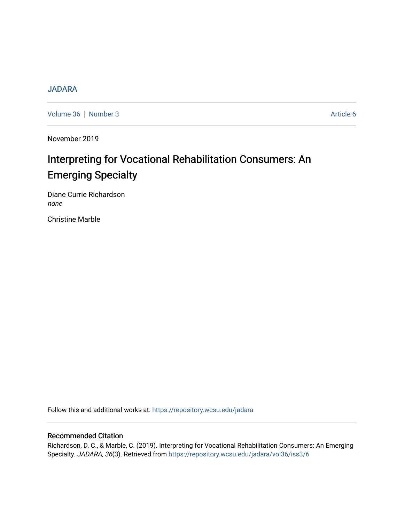# **[JADARA](https://repository.wcsu.edu/jadara)**

[Volume 36](https://repository.wcsu.edu/jadara/vol36) | [Number 3](https://repository.wcsu.edu/jadara/vol36/iss3) Article 6

November 2019

# Interpreting for Vocational Rehabilitation Consumers: An Emerging Specialty

Diane Currie Richardson none

Christine Marble

Follow this and additional works at: [https://repository.wcsu.edu/jadara](https://repository.wcsu.edu/jadara?utm_source=repository.wcsu.edu%2Fjadara%2Fvol36%2Fiss3%2F6&utm_medium=PDF&utm_campaign=PDFCoverPages)

### Recommended Citation

Richardson, D. C., & Marble, C. (2019). Interpreting for Vocational Rehabilitation Consumers: An Emerging Specialty. JADARA, 36(3). Retrieved from [https://repository.wcsu.edu/jadara/vol36/iss3/6](https://repository.wcsu.edu/jadara/vol36/iss3/6?utm_source=repository.wcsu.edu%2Fjadara%2Fvol36%2Fiss3%2F6&utm_medium=PDF&utm_campaign=PDFCoverPages)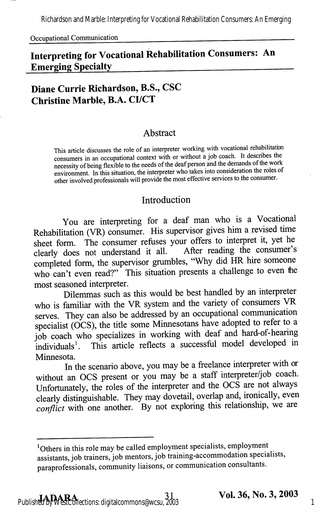Richardson and Marble: Interpreting for Vocational Rehabilitation Consumers: An Emerging

Occupational Communication

# Interpreting for Vocational Rehabilitation Consumers: An Emerging Specialty

# Diane Currie Richardson, B.S., CSC Christine Marble, B.A. CI/CT

#### Abstract

This article discusses the role of an interpreter working with vocational rehabilitatbn consumers in an occupational context with or without a job coach. It describes the necessity of being flexible to the needs of the deaf person and the demands of the work environment. In this situation, the interpreter who takes into consideration the roles of other involved professionals will provide the most effective services to the consumer.

#### Introduction

You are interpreting for a deaf man who is a Vocational Rehabilitation (VR) consumer. His supervisor gives him a revised time sheet form. The consumer refuses your offers to interpret it, yet he clearly does not understand it all. After reading the consumer's completed form, the supervisor grumbles, "Why did HR hire someone who can't even read?" This situation presents a challenge to even the most seasoned interpreter.

Dilemmas such as this would be best handled by an interpreter who is familiar with the VR system and the variety of consumers VR serves. They can also be addressed by an occupational communication specialist (OCS), the title some Minnesotans have adopted to refer to a job coach who specializes in working with deaf and hard-of-hearing individuals<sup>1</sup>. This article reflects a successful model developed in This article reflects a successful model developed in Minnesota.

In the scenario above, you may be a freelance interpreter with or without an OCS present or you may be a staff interpreter/job coach. Unfortunately, the roles of the interpreter and the OCS are not always clearly distinguishable. They may dovetail, overlap and, ironically, even conflict with one another. By not exploring this relationship, we are

<sup>&</sup>lt;sup>1</sup>Others in this role may be called employment specialists, employment assistants, job trainers, job mentors, job training-accommodation specialists, paraprofessionals, community liaisons, or communication consultants.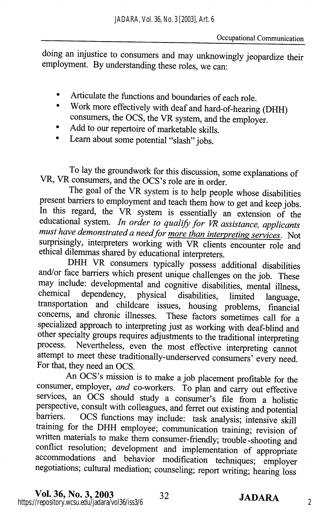doing an injustice to consumers and may unknowingly jeopardize their employment. By understanding these roles, we can:

- Articulate the functions and boundaries of each role.
- Work more effectively with deaf and hard-of-hearing (DHH)  $\bullet$ consumers, the DCS, the VR system, and the employer.
- Add to our repertoire of marketable skills.
- Learn about some potential "slash" jobs.

To lay the groundwork for this discussion, some explanations of VR, VR consumers, and the OCS's role are in order.

The goal of the VR system is to help people whose disabilities present barriers to employment and teach them how to get and keep jobs. In this regard, the VR system is essentially an extension of the educational system. In order to qualify for VR assistance, applicants must have demonstrated a need for more than interpreting services. Not surprisingly, interpreters working with VR clients encounter role and ethical dilemmas shared by educational interpreters.

DHH VR consumers typically possess additional disabilities and/or face barriers which present unique challenges on the job. These may include: developmental and cognitive disabilities, mental illness, chemical dependency, physical disabilities, limited language, transportation and childcare issues, housing problems, financial concerns, and chronic illnesses. These factors sometimes call for a specialized approach to interpreting just as working with deaf-blind and other specialty groups requires adjustments to the traditional interpreting process. Nevertheless, even the most effective interpreting cannot attempt to meet these traditionally-underserved consumers' every need. For that, they need an OCS.

An OCS's mission is to make a job placement profitable for the consumer, employer, and co-workers. To plan and carry out effective services, an OCS should study a consumer's file from a holistic perspective, consult with colleagues, and ferret out existing and potential barriers. OCS functions may include: task analysis; intensive skill training for the DHH employee; communication training; revision of written materials to make them consumer-friendly; trouble-shooting and conflict resolution; development and implementation of appropriate accommodations and behavior modification techniques; employer negotiations; cultural mediation; counseling; report writing; hearing loss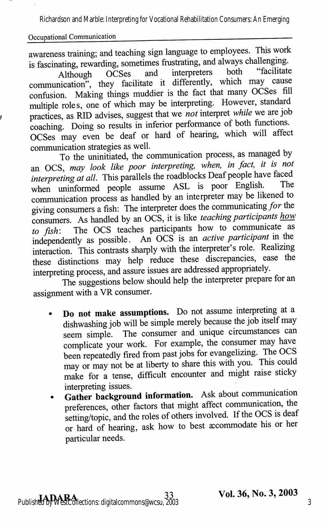Richardson and Marble: Interpreting for Vocational Rehabilitation Consumers: An Emerging

#### Occupational Communication

awareness training; and teaching sign language to employees. This work is fascinating, rewarding, sometimes frustrating, and always challenging.<br>Although OCSes and interpreters both "facilitate

Although OCSes and interpreters both facilitate communication", they facilitate it differently, which may cause confusion. Making things muddier is the fact that many OCSes fill multiple roles, one of which may be interpreting. However, standard practices, as RID advises, suggest that we not interpret while we are job coaching. Doing so results in inferior performance of both fimctions. OCSes may even be deaf or hard of hearing, which will affect communication strategies as well.

To the uninitiated, the communication process, as managed by an OCS, may look like poor interpreting, when, in fact, it is not interpreting at all. This parallels the roadblocks Deaf people have faced when uninformed people assume ASL is poor English. communication process as handled by an interpreter may be likened to giving consumers a fish; The interpreter does the communicating/or the consumers. As handled by an OCS, it is like *teaching participants how* to  $fish$ : The OCS teaches participants how to communicate as to fish: The OCS teaches participants how to communicate as independently as possible. An OCS is an *active participant* in the interaction. This contrasts sharply with the interpreter's role. Realizing these distinctions may help reduce these discrepancies, ease the interpreting process, and assure issues are addressed appropriately.

The suggestions below should help the interpreter prepare for an assignment with a VR consumer.

- Do not make assumptions. Do not assume interpreting at a dishwashing job will be simple merely because the job itself may seem simple. The consumer and unique circumstances can complicate your work. For example, the consumer may have been repeatedly fired from past jobs for evangelizing. The OCS may or may not be at liberty to share this with you. This could make for a tense, difficult encounter and might raise sticky interpreting issues.
- Gather background information. Ask about communication  $\bullet$ preferences, other factors that might affect communication, the setting/topic, and the roles of others involved. If the OCS is deaf or hard of hearing, ask how to best accommodate his or her particular needs.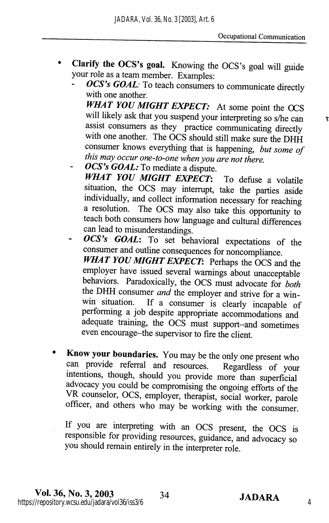- Clarify the OCS's goal. Knowing the OCS's goal will guide  $\bullet$ your role as a team member. Examples:
	- OCS's GOAL: To teach consumers to communicate directly with one another. WHAT YOU MIGHT EXPECT: At some point the OCS will likely ask that you suspend your interpreting so s/he can assist consumers as they practice communicating directly with one another. The OCS should still make sure the DHH consumer knows everything that is happening, but some of this may occur one-to-one when you are not there.
	- OCS's GOAL: To mediate a dispute. WHAT YOU MIGHT EXPECT: To defuse a volatile situation, the OCS may interrupt, take the parties aside individually, and collect information necessary for reaching a resolution. The OCS may also take this opportunity to teach both consumers how language and cultural differences can lead to misunderstandings.
	- OCS's GOAL: To set behavioral expectations of the consumer and outline consequences for noncompliance. WHAT YOU MIGHT EXPECT: Perhaps the OCS and the employer have issued several warnings about unacceptable behaviors. Paradoxically, the OCS must advocate for both the DHH consumer *and* the employer and strive for a win-<br>win situation. If a consumer is clearly incapable of If a consumer is clearly incapable of performing a job despite appropriate accommodations and adequate training, the OCS must support-and sometimes even encourage-the supervisor to fire the client.
- Know your boundaries. You may be the only one present who can provide referral and resources. Regardless of your intentions, though, should you provide more than superficial advocacy you could be compromising the ongoing efforts of the VR counselor, OCS, employer, therapist, social worker, parole officer, and others who may be working with the consumer.

If you are interpreting with an OCS present, the OCS is responsible for providing resources, guidance, and advocacy so you should remain entirely in the interpreter role.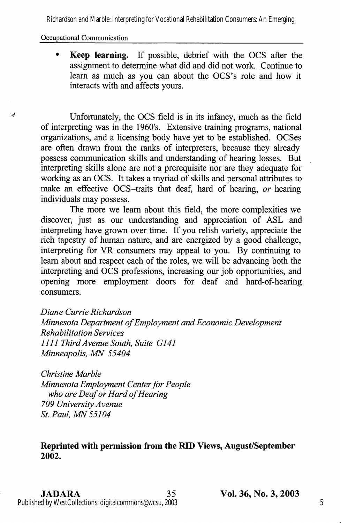Richardson and Marble: Interpreting for Vocational Rehabilitation Consumers: An Emerging

#### Occupational Communication

W

Keep learning. If possible, debrief with the DCS after the assignment to determine what did and did not work. Continue to learn as much as you can about the OCS's role and how it interacts with and affects yours.

Unfortunately, the OCS field is in its infancy, much as the field of interpreting was in the 1960's. Extensive training programs, national organizations, and a licensing body have yet to be established. OCSes are often drawn from the ranks of interpreters, because they already possess communication skills and understanding of hearing losses. But interpreting skills alone are not a prerequisite nor are they adequate for working as an OCS. It takes a myriad of skills and personal attributes to make an effective OCS-traits that deaf, hard of hearing, or hearing individuals may possess.

The more we learn about this field, the more complexities we discover, just as our understanding and appreciation of ASL and interpreting have grown over time. If you relish variety, appreciate the rich tapestry of human nature, and are energized by a good challenge, interpreting for VR consumers may appeal to you. By continuing to leam about and respect each of the roles, we will be advancing both the interpreting and OCS professions, increasing our job opportunities, and opening more employment doors for deaf and hard-of-hearing consumers.

Diane Currie Richardson Minnesota Department of Employment and Economic Development Rehabilitation Services 1111 Third Avenue South, Suite G141 Minneapolis, MN 55404

Christine Marble Minnesota Employment Center for People who are Deaf or Hard of Hearing 709 University Avenue St. Paul, MN 55104

#### Reprinted with permission from the RID Views, August/September 2002.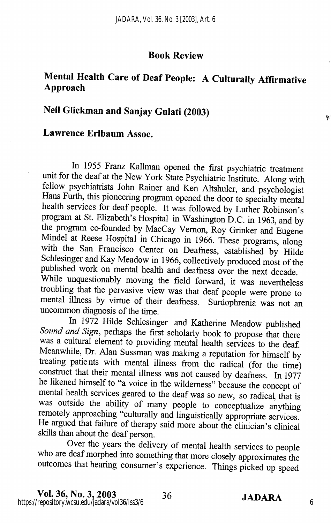#### Book Review

# Mental Health Care of Deaf People: A Culturally Affirmative Approach

# Neil Glickman and Sanjay Gulati (2003)

### Lawrence Erlbaum Assoc.

In 1955 Franz Kallman opened the first psychiatric treatment unit for the deaf at the New York State Psychiatric Institute. Along with fellow psychiatrists John Rainer and Ken Altshuler, and psychologist Hans Furth, this pioneering program opened the door to specialty mental health services for deaf people. It was followed by Luther Robinson's program at St. Elizabeth's Hospital in Washington D.C. in 1963, and by the program co-founded by MacCay Vemon, Roy Grinker and Eugene Mindel at Reese Hospital in Chicago in 1966. These programs, along with the San Francisco Center on Deafness, established by Hilde Schlesinger and Kay Meadow in 1966, collectively produced most of the published work on mental health and deafness over the next decade. While unquestionably moving the field forward, it was nevertheless troubling that the pervasive view was that deaf people were prone to mental illness by virtue of their deafness. Surdophrenia was not an uncommon diagnosis of the time.

In 1972 Hilde Schlesinger and Katherine Meadow published Sound and Sign, perhaps the first scholarly book to propose that there was a cultural element to providing mental health services to the deaf. Meanwhile, Dr. Alan Sussman was making a reputation for himself by treating patients with mental illness from the radical (for the time) construct that their mental illness was not caused by deafness. In 1977 he likened himself to "a voice in the wilderness" because the concept of mental health services geared to the deaf was so new, so radical, that is was outside the ability of many people to conceptualize anything remotely approaching "culturally and linguistically appropriate services. He argued that failure of therapy said more about the clinician's clinical skills than about the deaf person.

Over the years the delivery of mental health services to people who are deaf morphed into something that more closely approximates the outcomes that hearing consumer's experience. Things picked up speed

r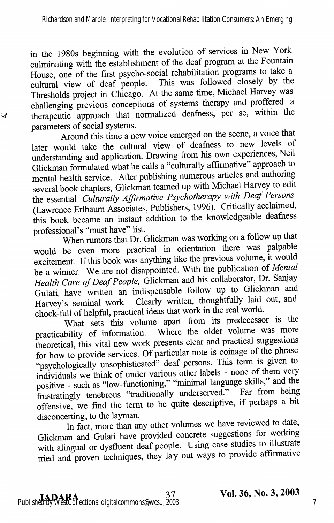in the 1980s beginning with the evolution of services in New York culminating with the establishment of the deaf program at the Fountain House, one of the first psycho-social rehabilitation programs to take a cultural view of deaf people. This was followed closely by the Thresholds project in Chicago. At the same time, Michael Harvey was challenging previous conceptions of systems therapy and proffered a therapeutic approach that normalized deafness, per se, within the parameters of social systems.

 $\mathcal{A}$ 

Around this time a new voice emerged on the scene, a voice that later would take the cultural view of deafness to new levels of understanding and application. Drawing from his own experiences, Neil Glickman formulated what he calls a "culturally affirmative" approach to mental health service. After publishing numerous articles and authoring several book chapters, Glickman teamed up with Michael Harvey to edit the essential Culturally Affirmative Psychotherapy with Deaf Persons (Lawrence Erlbaum Associates, Publishers, 1996). Critically acclaimed, this book became an instant addition to the knowledgeable deafness professional's "must have" list.

When rumors that Dr. Glickman was working on a follow up that would be even more practical in orientation there was palpable excitement. If this book was anything like the previous volume, it would be a winner. We are not disappointed. With the publication of Mental Health Care of Deaf People, Glickman and his collaborator, Dr. Sanjay Gulati, have written an indispensable follow up to Glickman and Harvey's seminal work Clearly written, thoughtfully laid out, and chock-full of helpful, practical ideas that work in the real world.

What sets this volume apart from its predecessor is the practicability of information. Where the older volume was more theoretical, this vital new work presents clear and practical suggestions for how to provide services. Of particular note is coinage of the phrase "psychologically unsophisticated" deaf persons. This term is given to individuals we think of under various other labels - none of them very positive - such as "low-functioning," "minimal language skills," and the frustratingly tenebrous "traditionally underserved." Far from being offensive, we find the term to be quite descriptive, if perhaps a bit disconcerting, to the layman.

In fact, more than any other volumes we have reviewed to date, Glickman and Gulati have provided concrete suggestions for working with alingual or dysfluent deaf people. Using case studies to illustrate tried and proven techniques, they lay out ways to provide affirmative